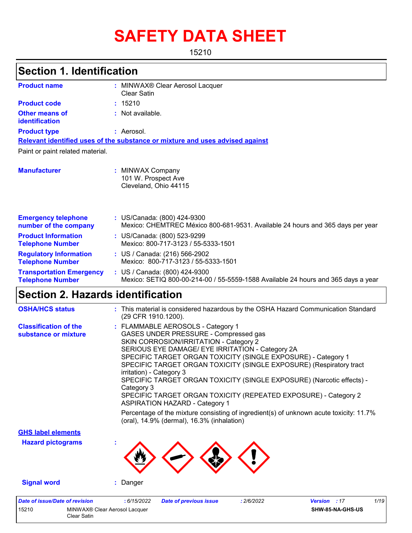# **SAFETY DATA SHEET**

15210

#### MINWAX® Clear Aerosol Lacquer **:** Clear Satin Not available. **:** Aerosol. **:** US/Canada: (800) 424-9300 **:** Mexico: CHEMTREC México 800-681-9531. Available 24 hours and 365 days per year **Product name Other means of identification Product type Emergency telephone number of the company Section 1. Identification Manufacturer :** MINWAX Company 101 W. Prospect Ave Cleveland, Ohio 44115 **Relevant identified uses of the substance or mixture and uses advised against** Paint or paint related material. **Product code :** 15210 **Product Information Telephone Number :** US/Canada: (800) 523-9299 Mexico: 800-717-3123 / 55-5333-1501 **Regulatory Information Telephone Number :** US / Canada: (216) 566-2902 Mexico: 800-717-3123 / 55-5333-1501 **Transportation Emergency Telephone Number :** US / Canada: (800) 424-9300 Mexico: SETIQ 800-00-214-00 / 55-5559-1588 Available 24 hours and 365 days a year **Section 2. Hazards identification** FLAMMABLE AEROSOLS - Category 1 **: Classification of the OSHA/HCS status :** This material is considered hazardous by the OSHA Hazard Communication Standard (29 CFR 1910.1200).

| oldssingduon of the<br>substance or mixture | $\blacksquare$ . Lawrence also a cooper - ballygory is<br>GASES UNDER PRESSURE - Compressed gas                                                                                                                                                                                                    |  |  |  |  |  |  |                           |                                                                                                                                      |  |  |  |  |  |
|---------------------------------------------|----------------------------------------------------------------------------------------------------------------------------------------------------------------------------------------------------------------------------------------------------------------------------------------------------|--|--|--|--|--|--|---------------------------|--------------------------------------------------------------------------------------------------------------------------------------|--|--|--|--|--|
|                                             | SKIN CORROSION/IRRITATION - Category 2                                                                                                                                                                                                                                                             |  |  |  |  |  |  |                           |                                                                                                                                      |  |  |  |  |  |
|                                             | SERIOUS EYE DAMAGE/ EYE IRRITATION - Category 2A                                                                                                                                                                                                                                                   |  |  |  |  |  |  |                           |                                                                                                                                      |  |  |  |  |  |
|                                             | SPECIFIC TARGET ORGAN TOXICITY (SINGLE EXPOSURE) - Category 1                                                                                                                                                                                                                                      |  |  |  |  |  |  |                           |                                                                                                                                      |  |  |  |  |  |
|                                             | SPECIFIC TARGET ORGAN TOXICITY (SINGLE EXPOSURE) (Respiratory tract<br>irritation) - Category 3<br>SPECIFIC TARGET ORGAN TOXICITY (SINGLE EXPOSURE) (Narcotic effects) -<br>Category 3<br>SPECIFIC TARGET ORGAN TOXICITY (REPEATED EXPOSURE) - Category 2<br><b>ASPIRATION HAZARD - Category 1</b> |  |  |  |  |  |  |                           |                                                                                                                                      |  |  |  |  |  |
|                                             |                                                                                                                                                                                                                                                                                                    |  |  |  |  |  |  |                           | Percentage of the mixture consisting of ingredient(s) of unknown acute toxicity: 11.7%<br>(oral), 14.9% (dermal), 16.3% (inhalation) |  |  |  |  |  |
|                                             |                                                                                                                                                                                                                                                                                                    |  |  |  |  |  |  | <b>GHS label elements</b> |                                                                                                                                      |  |  |  |  |  |
|                                             |                                                                                                                                                                                                                                                                                                    |  |  |  |  |  |  | <b>Hazard pictograms</b>  |                                                                                                                                      |  |  |  |  |  |
|                                             |                                                                                                                                                                                                                                                                                                    |  |  |  |  |  |  |                           |                                                                                                                                      |  |  |  |  |  |
| <b>Signal word</b>                          | : Danger                                                                                                                                                                                                                                                                                           |  |  |  |  |  |  |                           |                                                                                                                                      |  |  |  |  |  |
| Date of issue/Date of revision              | 1/19<br>: 6/15/2022<br><b>Date of previous issue</b><br>: 2/6/2022<br><b>Version</b> : 17                                                                                                                                                                                                          |  |  |  |  |  |  |                           |                                                                                                                                      |  |  |  |  |  |

| 15210<br>MINWAX® Clear Aerosol Lacquer<br>Clear Satin |  |
|-------------------------------------------------------|--|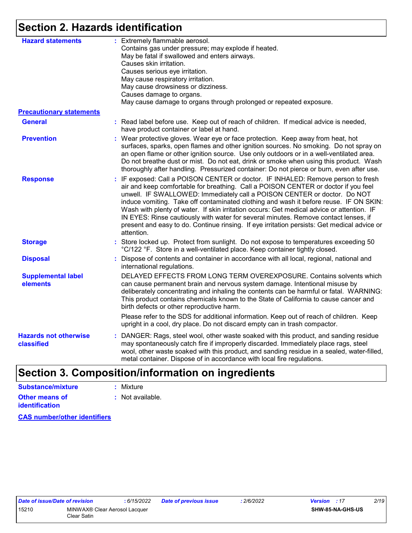### **Section 2. Hazards identification**

| <b>Hazard statements</b>                   | : Extremely flammable aerosol.<br>Contains gas under pressure; may explode if heated.<br>May be fatal if swallowed and enters airways.<br>Causes skin irritation.<br>Causes serious eye irritation.<br>May cause respiratory irritation.<br>May cause drowsiness or dizziness.<br>Causes damage to organs.<br>May cause damage to organs through prolonged or repeated exposure.                                                                                                                                                                                                                                                             |
|--------------------------------------------|----------------------------------------------------------------------------------------------------------------------------------------------------------------------------------------------------------------------------------------------------------------------------------------------------------------------------------------------------------------------------------------------------------------------------------------------------------------------------------------------------------------------------------------------------------------------------------------------------------------------------------------------|
| <b>Precautionary statements</b>            |                                                                                                                                                                                                                                                                                                                                                                                                                                                                                                                                                                                                                                              |
| <b>General</b>                             | : Read label before use. Keep out of reach of children. If medical advice is needed,<br>have product container or label at hand.                                                                                                                                                                                                                                                                                                                                                                                                                                                                                                             |
| <b>Prevention</b>                          | : Wear protective gloves. Wear eye or face protection. Keep away from heat, hot<br>surfaces, sparks, open flames and other ignition sources. No smoking. Do not spray on<br>an open flame or other ignition source. Use only outdoors or in a well-ventilated area.<br>Do not breathe dust or mist. Do not eat, drink or smoke when using this product. Wash<br>thoroughly after handling. Pressurized container: Do not pierce or burn, even after use.                                                                                                                                                                                     |
| <b>Response</b>                            | : IF exposed: Call a POISON CENTER or doctor. IF INHALED: Remove person to fresh<br>air and keep comfortable for breathing. Call a POISON CENTER or doctor if you feel<br>unwell. IF SWALLOWED: Immediately call a POISON CENTER or doctor. Do NOT<br>induce vomiting. Take off contaminated clothing and wash it before reuse. IF ON SKIN:<br>Wash with plenty of water. If skin irritation occurs: Get medical advice or attention. IF<br>IN EYES: Rinse cautiously with water for several minutes. Remove contact lenses, if<br>present and easy to do. Continue rinsing. If eye irritation persists: Get medical advice or<br>attention. |
| <b>Storage</b>                             | : Store locked up. Protect from sunlight. Do not expose to temperatures exceeding 50<br>°C/122 °F. Store in a well-ventilated place. Keep container tightly closed.                                                                                                                                                                                                                                                                                                                                                                                                                                                                          |
| <b>Disposal</b>                            | : Dispose of contents and container in accordance with all local, regional, national and<br>international regulations.                                                                                                                                                                                                                                                                                                                                                                                                                                                                                                                       |
| <b>Supplemental label</b><br>elements      | DELAYED EFFECTS FROM LONG TERM OVEREXPOSURE. Contains solvents which<br>can cause permanent brain and nervous system damage. Intentional misuse by<br>deliberately concentrating and inhaling the contents can be harmful or fatal. WARNING:<br>This product contains chemicals known to the State of California to cause cancer and<br>birth defects or other reproductive harm.                                                                                                                                                                                                                                                            |
|                                            | Please refer to the SDS for additional information. Keep out of reach of children. Keep<br>upright in a cool, dry place. Do not discard empty can in trash compactor.                                                                                                                                                                                                                                                                                                                                                                                                                                                                        |
| <b>Hazards not otherwise</b><br>classified | : DANGER: Rags, steel wool, other waste soaked with this product, and sanding residue<br>may spontaneously catch fire if improperly discarded. Immediately place rags, steel<br>wool, other waste soaked with this product, and sanding residue in a sealed, water-filled,<br>metal container. Dispose of in accordance with local fire regulations.                                                                                                                                                                                                                                                                                         |

## **Section 3. Composition/information on ingredients**

| Substance/mixture     | : Mixture        |
|-----------------------|------------------|
| <b>Other means of</b> | : Not available. |
| <i>identification</i> |                  |

**CAS number/other identifiers**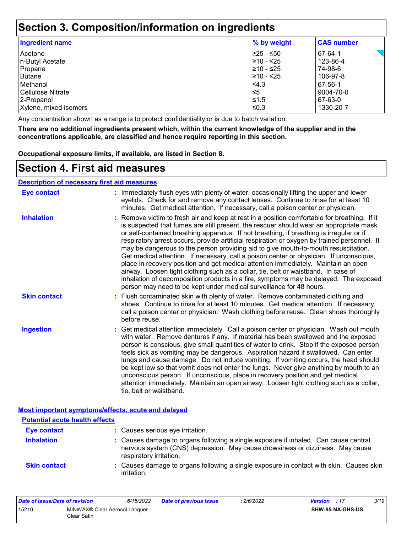### **Section 3. Composition/information on ingredients**

| <b>Ingredient name</b> | % by weight | <b>CAS number</b> |
|------------------------|-------------|-------------------|
| Acetone                | 225 - ≤50   | 67-64-1           |
| In-Butyl Acetate       | 210 - ≤25   | 123-86-4          |
| Propane                | 210 - ≤25   | 74-98-6           |
| Butane                 | 210 - ≤25   | 106-97-8          |
| <b>Methanol</b>        | I≤4.3       | 67-56-1           |
| Cellulose Nitrate      | l≤5         | 9004-70-0         |
| 2-Propanol             | l≤1.5       | 67-63-0           |
| Xylene, mixed isomers  | l≤0.3       | 1330-20-7         |

Any concentration shown as a range is to protect confidentiality or is due to batch variation.

**There are no additional ingredients present which, within the current knowledge of the supplier and in the concentrations applicable, are classified and hence require reporting in this section.**

**Occupational exposure limits, if available, are listed in Section 8.**

### **Section 4. First aid measures**

#### **Description of necessary first aid measures**

| <b>Eye contact</b>  | : Immediately flush eyes with plenty of water, occasionally lifting the upper and lower<br>eyelids. Check for and remove any contact lenses. Continue to rinse for at least 10<br>minutes. Get medical attention. If necessary, call a poison center or physician.                                                                                                                                                                                                                                                                                                                                                                                                                                                                                                                                                                                                                                             |
|---------------------|----------------------------------------------------------------------------------------------------------------------------------------------------------------------------------------------------------------------------------------------------------------------------------------------------------------------------------------------------------------------------------------------------------------------------------------------------------------------------------------------------------------------------------------------------------------------------------------------------------------------------------------------------------------------------------------------------------------------------------------------------------------------------------------------------------------------------------------------------------------------------------------------------------------|
| <b>Inhalation</b>   | : Remove victim to fresh air and keep at rest in a position comfortable for breathing. If it<br>is suspected that fumes are still present, the rescuer should wear an appropriate mask<br>or self-contained breathing apparatus. If not breathing, if breathing is irregular or if<br>respiratory arrest occurs, provide artificial respiration or oxygen by trained personnel. It<br>may be dangerous to the person providing aid to give mouth-to-mouth resuscitation.<br>Get medical attention. If necessary, call a poison center or physician. If unconscious,<br>place in recovery position and get medical attention immediately. Maintain an open<br>airway. Loosen tight clothing such as a collar, tie, belt or waistband. In case of<br>inhalation of decomposition products in a fire, symptoms may be delayed. The exposed<br>person may need to be kept under medical surveillance for 48 hours. |
| <b>Skin contact</b> | : Flush contaminated skin with plenty of water. Remove contaminated clothing and<br>shoes. Continue to rinse for at least 10 minutes. Get medical attention. If necessary,<br>call a poison center or physician. Wash clothing before reuse. Clean shoes thoroughly<br>before reuse.                                                                                                                                                                                                                                                                                                                                                                                                                                                                                                                                                                                                                           |
| <b>Ingestion</b>    | : Get medical attention immediately. Call a poison center or physician. Wash out mouth<br>with water. Remove dentures if any. If material has been swallowed and the exposed<br>person is conscious, give small quantities of water to drink. Stop if the exposed person<br>feels sick as vomiting may be dangerous. Aspiration hazard if swallowed. Can enter<br>lungs and cause damage. Do not induce vomiting. If vomiting occurs, the head should<br>be kept low so that vomit does not enter the lungs. Never give anything by mouth to an<br>unconscious person. If unconscious, place in recovery position and get medical<br>attention immediately. Maintain an open airway. Loosen tight clothing such as a collar,<br>tie, belt or waistband.                                                                                                                                                        |

| <b>Potential acute health effects</b> |                                                                                                                                                                                                 |
|---------------------------------------|-------------------------------------------------------------------------------------------------------------------------------------------------------------------------------------------------|
| <b>Eye contact</b>                    | : Causes serious eye irritation.                                                                                                                                                                |
| <b>Inhalation</b>                     | : Causes damage to organs following a single exposure if inhaled. Can cause central<br>nervous system (CNS) depression. May cause drowsiness or dizziness. May cause<br>respiratory irritation. |
| <b>Skin contact</b>                   | : Causes damage to organs following a single exposure in contact with skin. Causes skin<br>irritation.                                                                                          |

| Date of issue/Date of revision |                                              | : 6/15/2022 | <b>Date of previous issue</b> | .2/6/2022 | <b>Version</b> : 17 |                         | 3/19 |
|--------------------------------|----------------------------------------------|-------------|-------------------------------|-----------|---------------------|-------------------------|------|
| 15210                          | MINWAX® Clear Aerosol Lacquer<br>Clear Satin |             |                               |           |                     | <b>SHW-85-NA-GHS-US</b> |      |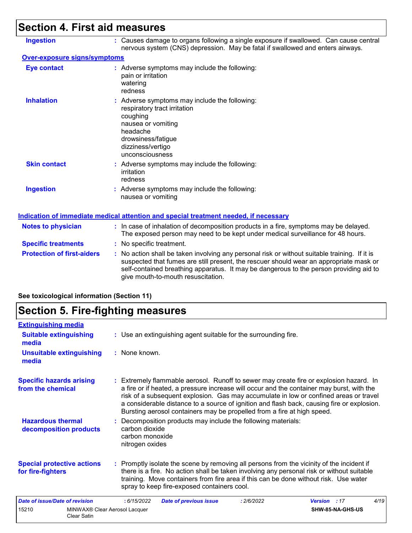## **Section 4. First aid measures**

| <b>Ingestion</b>                    | : Causes damage to organs following a single exposure if swallowed. Can cause central<br>nervous system (CNS) depression. May be fatal if swallowed and enters airways.                                                                                                                                                 |
|-------------------------------------|-------------------------------------------------------------------------------------------------------------------------------------------------------------------------------------------------------------------------------------------------------------------------------------------------------------------------|
| <b>Over-exposure signs/symptoms</b> |                                                                                                                                                                                                                                                                                                                         |
| <b>Eye contact</b>                  | : Adverse symptoms may include the following:<br>pain or irritation<br>watering<br>redness                                                                                                                                                                                                                              |
| <b>Inhalation</b>                   | : Adverse symptoms may include the following:<br>respiratory tract irritation<br>coughing<br>nausea or vomiting<br>headache<br>drowsiness/fatigue<br>dizziness/vertigo<br>unconsciousness                                                                                                                               |
| <b>Skin contact</b>                 | : Adverse symptoms may include the following:<br>irritation<br>redness                                                                                                                                                                                                                                                  |
| <b>Ingestion</b>                    | : Adverse symptoms may include the following:<br>nausea or vomiting                                                                                                                                                                                                                                                     |
|                                     | Indication of immediate medical attention and special treatment needed, if necessary                                                                                                                                                                                                                                    |
| <b>Notes to physician</b>           | : In case of inhalation of decomposition products in a fire, symptoms may be delayed.<br>The exposed person may need to be kept under medical surveillance for 48 hours.                                                                                                                                                |
| <b>Specific treatments</b>          | : No specific treatment.                                                                                                                                                                                                                                                                                                |
| <b>Protection of first-aiders</b>   | : No action shall be taken involving any personal risk or without suitable training. If it is<br>suspected that fumes are still present, the rescuer should wear an appropriate mask or<br>self-contained breathing apparatus. It may be dangerous to the person providing aid to<br>give mouth-to-mouth resuscitation. |

### **See toxicological information (Section 11)**

## **Section 5. Fire-fighting measures**

| <b>Extinguishing media</b>                             |                                                                                                                                                                                                                                                                                                                                                                                                                                                       |
|--------------------------------------------------------|-------------------------------------------------------------------------------------------------------------------------------------------------------------------------------------------------------------------------------------------------------------------------------------------------------------------------------------------------------------------------------------------------------------------------------------------------------|
| <b>Suitable extinguishing</b><br>media                 | : Use an extinguishing agent suitable for the surrounding fire.                                                                                                                                                                                                                                                                                                                                                                                       |
| <b>Unsuitable extinguishing</b><br>media               | : None known.                                                                                                                                                                                                                                                                                                                                                                                                                                         |
| <b>Specific hazards arising</b><br>from the chemical   | : Extremely flammable aerosol. Runoff to sewer may create fire or explosion hazard. In<br>a fire or if heated, a pressure increase will occur and the container may burst, with the<br>risk of a subsequent explosion. Gas may accumulate in low or confined areas or travel<br>a considerable distance to a source of ignition and flash back, causing fire or explosion.<br>Bursting aerosol containers may be propelled from a fire at high speed. |
| <b>Hazardous thermal</b><br>decomposition products     | : Decomposition products may include the following materials:<br>carbon dioxide<br>carbon monoxide<br>nitrogen oxides                                                                                                                                                                                                                                                                                                                                 |
| <b>Special protective actions</b><br>for fire-fighters | : Promptly isolate the scene by removing all persons from the vicinity of the incident if<br>there is a fire. No action shall be taken involving any personal risk or without suitable<br>training. Move containers from fire area if this can be done without risk. Use water<br>spray to keep fire-exposed containers cool.                                                                                                                         |
| Date of issue/Date of revision                         | 4/19<br>:6/15/2022<br><b>Date of previous issue</b><br>: 2/6/2022<br><b>Version</b> : 17                                                                                                                                                                                                                                                                                                                                                              |
| 15210<br><b>Clear Satin</b>                            | SHW-85-NA-GHS-US<br>MINWAX® Clear Aerosol Lacquer                                                                                                                                                                                                                                                                                                                                                                                                     |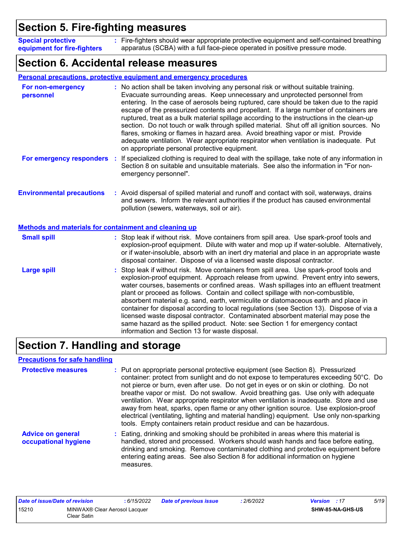### **Section 5. Fire-fighting measures**

Fire-fighters should wear appropriate protective equipment and self-contained breathing **:** apparatus (SCBA) with a full face-piece operated in positive pressure mode. **Special protective equipment for fire-fighters**

### **Section 6. Accidental release measures**

|                                                                                                  | <b>Personal precautions, protective equipment and emergency procedures</b>                                                                                                                                                                                                                                                                                                                                                                                                                                                                                                                                                                                                                                                                                                       |
|--------------------------------------------------------------------------------------------------|----------------------------------------------------------------------------------------------------------------------------------------------------------------------------------------------------------------------------------------------------------------------------------------------------------------------------------------------------------------------------------------------------------------------------------------------------------------------------------------------------------------------------------------------------------------------------------------------------------------------------------------------------------------------------------------------------------------------------------------------------------------------------------|
| For non-emergency<br>personnel                                                                   | : No action shall be taken involving any personal risk or without suitable training.<br>Evacuate surrounding areas. Keep unnecessary and unprotected personnel from<br>entering. In the case of aerosols being ruptured, care should be taken due to the rapid<br>escape of the pressurized contents and propellant. If a large number of containers are<br>ruptured, treat as a bulk material spillage according to the instructions in the clean-up<br>section. Do not touch or walk through spilled material. Shut off all ignition sources. No<br>flares, smoking or flames in hazard area. Avoid breathing vapor or mist. Provide<br>adequate ventilation. Wear appropriate respirator when ventilation is inadequate. Put<br>on appropriate personal protective equipment. |
| For emergency responders                                                                         | If specialized clothing is required to deal with the spillage, take note of any information in<br>Section 8 on suitable and unsuitable materials. See also the information in "For non-<br>emergency personnel".                                                                                                                                                                                                                                                                                                                                                                                                                                                                                                                                                                 |
| <b>Environmental precautions</b><br><b>Methods and materials for containment and cleaning up</b> | : Avoid dispersal of spilled material and runoff and contact with soil, waterways, drains<br>and sewers. Inform the relevant authorities if the product has caused environmental<br>pollution (sewers, waterways, soil or air).                                                                                                                                                                                                                                                                                                                                                                                                                                                                                                                                                  |
| <b>Small spill</b>                                                                               | : Stop leak if without risk. Move containers from spill area. Use spark-proof tools and<br>explosion-proof equipment. Dilute with water and mop up if water-soluble. Alternatively,<br>or if water-insoluble, absorb with an inert dry material and place in an appropriate waste<br>disposal container. Dispose of via a licensed waste disposal contractor.                                                                                                                                                                                                                                                                                                                                                                                                                    |
| <b>Large spill</b>                                                                               | : Stop leak if without risk. Move containers from spill area. Use spark-proof tools and<br>explosion-proof equipment. Approach release from upwind. Prevent entry into sewers,<br>water courses, basements or confined areas. Wash spillages into an effluent treatment<br>plant or proceed as follows. Contain and collect spillage with non-combustible,<br>absorbent material e.g. sand, earth, vermiculite or diatomaceous earth and place in<br>container for disposal according to local regulations (see Section 13). Dispose of via a<br>licensed waste disposal contractor. Contaminated absorbent material may pose the<br>same hazard as the spilled product. Note: see Section 1 for emergency contact<br>information and Section 13 for waste disposal.             |

### **Section 7. Handling and storage**

#### **Precautions for safe handling**

| <b>Protective measures</b>                       | : Put on appropriate personal protective equipment (see Section 8). Pressurized<br>container: protect from sunlight and do not expose to temperatures exceeding 50°C. Do<br>not pierce or burn, even after use. Do not get in eyes or on skin or clothing. Do not<br>breathe vapor or mist. Do not swallow. Avoid breathing gas. Use only with adequate<br>ventilation. Wear appropriate respirator when ventilation is inadequate. Store and use<br>away from heat, sparks, open flame or any other ignition source. Use explosion-proof<br>electrical (ventilating, lighting and material handling) equipment. Use only non-sparking<br>tools. Empty containers retain product residue and can be hazardous. |
|--------------------------------------------------|----------------------------------------------------------------------------------------------------------------------------------------------------------------------------------------------------------------------------------------------------------------------------------------------------------------------------------------------------------------------------------------------------------------------------------------------------------------------------------------------------------------------------------------------------------------------------------------------------------------------------------------------------------------------------------------------------------------|
| <b>Advice on general</b><br>occupational hygiene | : Eating, drinking and smoking should be prohibited in areas where this material is<br>handled, stored and processed. Workers should wash hands and face before eating,<br>drinking and smoking. Remove contaminated clothing and protective equipment before<br>entering eating areas. See also Section 8 for additional information on hygiene<br>measures.                                                                                                                                                                                                                                                                                                                                                  |

| Date of issue/Date of revision |                                              | : 6/15/2022 | Date of previous issue | : 2/6/2022 | <b>Version</b> : 17 |                         | 5/19 |
|--------------------------------|----------------------------------------------|-------------|------------------------|------------|---------------------|-------------------------|------|
| 15210                          | MINWAX® Clear Aerosol Lacquer<br>Clear Satin |             |                        |            |                     | <b>SHW-85-NA-GHS-US</b> |      |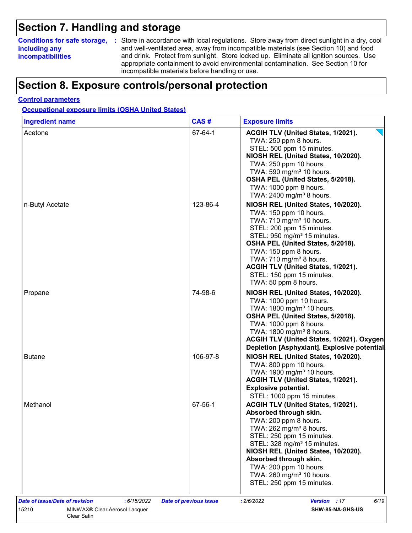### **Section 7. Handling and storage**

### **including any incompatibilities**

**Conditions for safe storage,** : Store in accordance with local regulations. Store away from direct sunlight in a dry, cool and well-ventilated area, away from incompatible materials (see Section 10) and food and drink. Protect from sunlight. Store locked up. Eliminate all ignition sources. Use appropriate containment to avoid environmental contamination. See Section 10 for incompatible materials before handling or use.

### **Section 8. Exposure controls/personal protection**

#### **Control parameters**

**Occupational exposure limits (OSHA United States)**

| <b>Ingredient name</b> | CAS#     | <b>Exposure limits</b>                                                                                                                                                                                                                                                                                                                                                 |
|------------------------|----------|------------------------------------------------------------------------------------------------------------------------------------------------------------------------------------------------------------------------------------------------------------------------------------------------------------------------------------------------------------------------|
| Acetone                | 67-64-1  | ACGIH TLV (United States, 1/2021).<br>TWA: 250 ppm 8 hours.<br>STEL: 500 ppm 15 minutes.<br>NIOSH REL (United States, 10/2020).<br>TWA: 250 ppm 10 hours.<br>TWA: 590 mg/m <sup>3</sup> 10 hours.<br>OSHA PEL (United States, 5/2018).<br>TWA: 1000 ppm 8 hours.<br>TWA: 2400 mg/m <sup>3</sup> 8 hours.                                                               |
| n-Butyl Acetate        | 123-86-4 | NIOSH REL (United States, 10/2020).<br>TWA: 150 ppm 10 hours.<br>TWA: 710 mg/m <sup>3</sup> 10 hours.<br>STEL: 200 ppm 15 minutes.<br>STEL: 950 mg/m <sup>3</sup> 15 minutes.<br>OSHA PEL (United States, 5/2018).<br>TWA: 150 ppm 8 hours.<br>TWA: 710 mg/m <sup>3</sup> 8 hours.<br>ACGIH TLV (United States, 1/2021).                                               |
|                        |          | STEL: 150 ppm 15 minutes.<br>TWA: 50 ppm 8 hours.                                                                                                                                                                                                                                                                                                                      |
| Propane                | 74-98-6  | NIOSH REL (United States, 10/2020).<br>TWA: 1000 ppm 10 hours.<br>TWA: 1800 mg/m <sup>3</sup> 10 hours.<br>OSHA PEL (United States, 5/2018).<br>TWA: 1000 ppm 8 hours.<br>TWA: 1800 mg/m <sup>3</sup> 8 hours.<br>ACGIH TLV (United States, 1/2021). Oxygen<br>Depletion [Asphyxiant]. Explosive potential                                                             |
| <b>Butane</b>          | 106-97-8 | NIOSH REL (United States, 10/2020).<br>TWA: 800 ppm 10 hours.<br>TWA: 1900 mg/m <sup>3</sup> 10 hours.<br>ACGIH TLV (United States, 1/2021).<br><b>Explosive potential.</b><br>STEL: 1000 ppm 15 minutes.                                                                                                                                                              |
| Methanol               | 67-56-1  | ACGIH TLV (United States, 1/2021).<br>Absorbed through skin.<br>TWA: 200 ppm 8 hours.<br>TWA: $262$ mg/m <sup>3</sup> 8 hours.<br>STEL: 250 ppm 15 minutes.<br>STEL: 328 mg/m <sup>3</sup> 15 minutes.<br>NIOSH REL (United States, 10/2020).<br>Absorbed through skin.<br>TWA: 200 ppm 10 hours.<br>TWA: 260 mg/m <sup>3</sup> 10 hours.<br>STEL: 250 ppm 15 minutes. |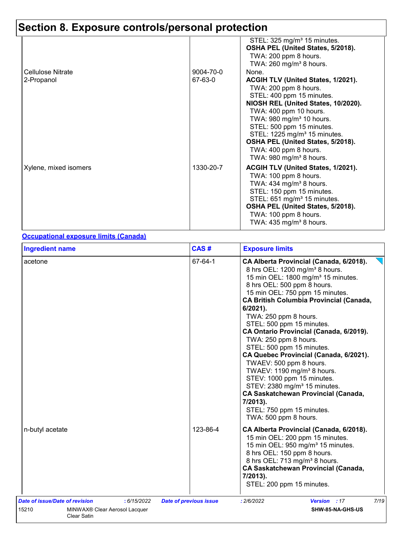|                                        |                      | STEL: 325 mg/m <sup>3</sup> 15 minutes.<br>OSHA PEL (United States, 5/2018).<br>TWA: 200 ppm 8 hours.<br>TWA: $260$ mg/m <sup>3</sup> 8 hours.                                                                                                                                                                                                                                           |
|----------------------------------------|----------------------|------------------------------------------------------------------------------------------------------------------------------------------------------------------------------------------------------------------------------------------------------------------------------------------------------------------------------------------------------------------------------------------|
| <b>Cellulose Nitrate</b><br>2-Propanol | 9004-70-0<br>67-63-0 | None.<br>ACGIH TLV (United States, 1/2021).<br>TWA: 200 ppm 8 hours.<br>STEL: 400 ppm 15 minutes.<br>NIOSH REL (United States, 10/2020).<br>TWA: 400 ppm 10 hours.<br>TWA: 980 mg/m <sup>3</sup> 10 hours.<br>STEL: 500 ppm 15 minutes.<br>STEL: 1225 mg/m <sup>3</sup> 15 minutes.<br>OSHA PEL (United States, 5/2018).<br>TWA: 400 ppm 8 hours.<br>TWA: 980 mg/m <sup>3</sup> 8 hours. |
| Xylene, mixed isomers                  | 1330-20-7            | ACGIH TLV (United States, 1/2021).<br>TWA: 100 ppm 8 hours.<br>TWA: $434$ mg/m <sup>3</sup> 8 hours.<br>STEL: 150 ppm 15 minutes.<br>STEL: 651 mg/m <sup>3</sup> 15 minutes.<br>OSHA PEL (United States, 5/2018).<br>TWA: 100 ppm 8 hours.<br>TWA: 435 mg/m <sup>3</sup> 8 hours.                                                                                                        |

#### **Occupational exposure limits (Canada)**

| <b>Ingredient name</b>                                       | CAS#                          | <b>Exposure limits</b>                                                                                                                                                                                                                                                                                                                                                                                                                                                                                                                                                                                                                                                                                                                  |
|--------------------------------------------------------------|-------------------------------|-----------------------------------------------------------------------------------------------------------------------------------------------------------------------------------------------------------------------------------------------------------------------------------------------------------------------------------------------------------------------------------------------------------------------------------------------------------------------------------------------------------------------------------------------------------------------------------------------------------------------------------------------------------------------------------------------------------------------------------------|
| acetone                                                      | 67-64-1                       | CA Alberta Provincial (Canada, 6/2018).<br>8 hrs OEL: 1200 mg/m <sup>3</sup> 8 hours.<br>15 min OEL: 1800 mg/m <sup>3</sup> 15 minutes.<br>8 hrs OEL: 500 ppm 8 hours.<br>15 min OEL: 750 ppm 15 minutes.<br><b>CA British Columbia Provincial (Canada,</b><br>6/2021).<br>TWA: 250 ppm 8 hours.<br>STEL: 500 ppm 15 minutes.<br>CA Ontario Provincial (Canada, 6/2019).<br>TWA: 250 ppm 8 hours.<br>STEL: 500 ppm 15 minutes.<br>CA Quebec Provincial (Canada, 6/2021).<br>TWAEV: 500 ppm 8 hours.<br>TWAEV: 1190 mg/m <sup>3</sup> 8 hours.<br>STEV: 1000 ppm 15 minutes.<br>STEV: 2380 mg/m <sup>3</sup> 15 minutes.<br><b>CA Saskatchewan Provincial (Canada,</b><br>7/2013).<br>STEL: 750 ppm 15 minutes.<br>TWA: 500 ppm 8 hours. |
| n-butyl acetate                                              | 123-86-4                      | CA Alberta Provincial (Canada, 6/2018).<br>15 min OEL: 200 ppm 15 minutes.<br>15 min OEL: 950 mg/m <sup>3</sup> 15 minutes.<br>8 hrs OEL: 150 ppm 8 hours.<br>8 hrs OEL: 713 mg/m <sup>3</sup> 8 hours.<br><b>CA Saskatchewan Provincial (Canada,</b><br>7/2013).<br>STEL: 200 ppm 15 minutes.                                                                                                                                                                                                                                                                                                                                                                                                                                          |
| Date of issue/Date of revision<br>: 6/15/2022                | <b>Date of previous issue</b> | 7/19<br>Version : 17<br>: 2/6/2022                                                                                                                                                                                                                                                                                                                                                                                                                                                                                                                                                                                                                                                                                                      |
| 15210<br>MINWAX® Clear Aerosol Lacquer<br><b>Clear Satin</b> |                               | SHW-85-NA-GHS-US                                                                                                                                                                                                                                                                                                                                                                                                                                                                                                                                                                                                                                                                                                                        |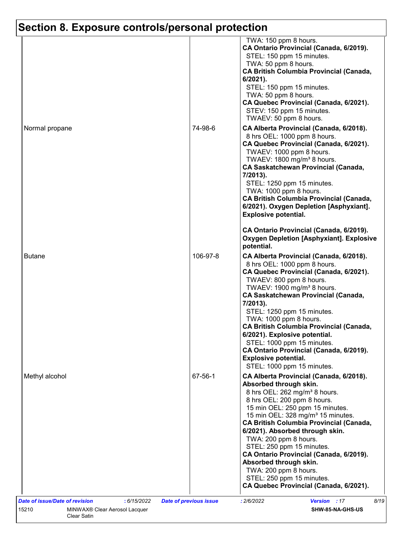| TWA: 150 ppm 8 hours.<br>CA Ontario Provincial (Canada, 6/2019).<br>STEL: 150 ppm 15 minutes.<br>TWA: 50 ppm 8 hours.<br><b>CA British Columbia Provincial (Canada,</b><br>$6/2021$ ).<br>STEL: 150 ppm 15 minutes.<br>TWA: 50 ppm 8 hours.<br>CA Quebec Provincial (Canada, 6/2021).<br>STEV: 150 ppm 15 minutes.<br>TWAEV: 50 ppm 8 hours.<br>Normal propane<br>74-98-6<br>CA Alberta Provincial (Canada, 6/2018).<br>8 hrs OEL: 1000 ppm 8 hours.<br>CA Quebec Provincial (Canada, 6/2021).<br>TWAEV: 1000 ppm 8 hours.<br>TWAEV: 1800 mg/m <sup>3</sup> 8 hours.<br><b>CA Saskatchewan Provincial (Canada,</b><br>7/2013).<br>STEL: 1250 ppm 15 minutes.<br>TWA: 1000 ppm 8 hours.<br><b>CA British Columbia Provincial (Canada,</b><br>6/2021). Oxygen Depletion [Asphyxiant].<br><b>Explosive potential.</b><br>CA Ontario Provincial (Canada, 6/2019).<br><b>Oxygen Depletion [Asphyxiant]. Explosive</b><br>potential.<br>106-97-8<br><b>Butane</b><br>CA Alberta Provincial (Canada, 6/2018).<br>8 hrs OEL: 1000 ppm 8 hours.<br>CA Quebec Provincial (Canada, 6/2021).<br>TWAEV: 800 ppm 8 hours.<br>TWAEV: 1900 mg/m <sup>3</sup> 8 hours.<br><b>CA Saskatchewan Provincial (Canada,</b><br>7/2013).<br>STEL: 1250 ppm 15 minutes.<br>TWA: 1000 ppm 8 hours.<br><b>CA British Columbia Provincial (Canada,</b><br>6/2021). Explosive potential.<br>STEL: 1000 ppm 15 minutes.<br>CA Ontario Provincial (Canada, 6/2019).<br><b>Explosive potential.</b><br>STEL: 1000 ppm 15 minutes.<br>67-56-1<br>Methyl alcohol<br>CA Alberta Provincial (Canada, 6/2018).<br>Absorbed through skin.<br>8 hrs OEL: 262 mg/m <sup>3</sup> 8 hours.<br>8 hrs OEL: 200 ppm 8 hours.<br>15 min OEL: 250 ppm 15 minutes.<br>15 min OEL: 328 mg/m <sup>3</sup> 15 minutes.<br><b>CA British Columbia Provincial (Canada,</b><br>6/2021). Absorbed through skin.<br>TWA: 200 ppm 8 hours.<br>STEL: 250 ppm 15 minutes.<br>CA Ontario Provincial (Canada, 6/2019).<br>Absorbed through skin.<br>TWA: 200 ppm 8 hours. |  |                           |
|-------------------------------------------------------------------------------------------------------------------------------------------------------------------------------------------------------------------------------------------------------------------------------------------------------------------------------------------------------------------------------------------------------------------------------------------------------------------------------------------------------------------------------------------------------------------------------------------------------------------------------------------------------------------------------------------------------------------------------------------------------------------------------------------------------------------------------------------------------------------------------------------------------------------------------------------------------------------------------------------------------------------------------------------------------------------------------------------------------------------------------------------------------------------------------------------------------------------------------------------------------------------------------------------------------------------------------------------------------------------------------------------------------------------------------------------------------------------------------------------------------------------------------------------------------------------------------------------------------------------------------------------------------------------------------------------------------------------------------------------------------------------------------------------------------------------------------------------------------------------------------------------------------------------------------------------------------------------------------------------------------------|--|---------------------------|
|                                                                                                                                                                                                                                                                                                                                                                                                                                                                                                                                                                                                                                                                                                                                                                                                                                                                                                                                                                                                                                                                                                                                                                                                                                                                                                                                                                                                                                                                                                                                                                                                                                                                                                                                                                                                                                                                                                                                                                                                             |  |                           |
|                                                                                                                                                                                                                                                                                                                                                                                                                                                                                                                                                                                                                                                                                                                                                                                                                                                                                                                                                                                                                                                                                                                                                                                                                                                                                                                                                                                                                                                                                                                                                                                                                                                                                                                                                                                                                                                                                                                                                                                                             |  |                           |
|                                                                                                                                                                                                                                                                                                                                                                                                                                                                                                                                                                                                                                                                                                                                                                                                                                                                                                                                                                                                                                                                                                                                                                                                                                                                                                                                                                                                                                                                                                                                                                                                                                                                                                                                                                                                                                                                                                                                                                                                             |  |                           |
| CA Quebec Provincial (Canada, 6/2021).                                                                                                                                                                                                                                                                                                                                                                                                                                                                                                                                                                                                                                                                                                                                                                                                                                                                                                                                                                                                                                                                                                                                                                                                                                                                                                                                                                                                                                                                                                                                                                                                                                                                                                                                                                                                                                                                                                                                                                      |  | STEL: 250 ppm 15 minutes. |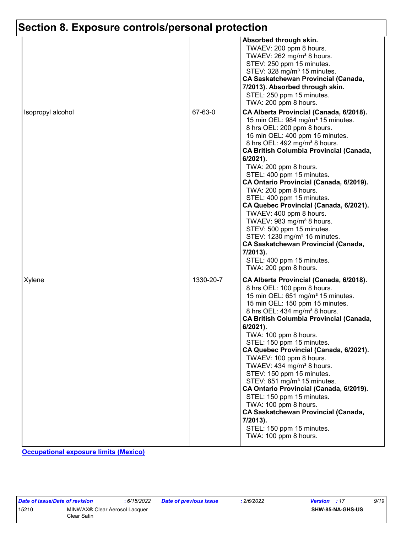|                   |           | Absorbed through skin.<br>TWAEV: 200 ppm 8 hours.<br>TWAEV: 262 mg/m <sup>3</sup> 8 hours.<br>STEV: 250 ppm 15 minutes.<br>STEV: 328 mg/m <sup>3</sup> 15 minutes.<br><b>CA Saskatchewan Provincial (Canada,</b><br>7/2013). Absorbed through skin.<br>STEL: 250 ppm 15 minutes.<br>TWA: 200 ppm 8 hours.                                                                                                                                                                                                                                                                                                                                                                                                                              |
|-------------------|-----------|----------------------------------------------------------------------------------------------------------------------------------------------------------------------------------------------------------------------------------------------------------------------------------------------------------------------------------------------------------------------------------------------------------------------------------------------------------------------------------------------------------------------------------------------------------------------------------------------------------------------------------------------------------------------------------------------------------------------------------------|
| Isopropyl alcohol | 67-63-0   | CA Alberta Provincial (Canada, 6/2018).<br>15 min OEL: 984 mg/m <sup>3</sup> 15 minutes.<br>8 hrs OEL: 200 ppm 8 hours.<br>15 min OEL: 400 ppm 15 minutes.<br>8 hrs OEL: 492 mg/m <sup>3</sup> 8 hours.<br><b>CA British Columbia Provincial (Canada,</b><br>$6/2021$ ).<br>TWA: 200 ppm 8 hours.<br>STEL: 400 ppm 15 minutes.<br>CA Ontario Provincial (Canada, 6/2019).<br>TWA: 200 ppm 8 hours.<br>STEL: 400 ppm 15 minutes.<br>CA Quebec Provincial (Canada, 6/2021).<br>TWAEV: 400 ppm 8 hours.<br>TWAEV: 983 mg/m <sup>3</sup> 8 hours.<br>STEV: 500 ppm 15 minutes.<br>STEV: 1230 mg/m <sup>3</sup> 15 minutes.<br><b>CA Saskatchewan Provincial (Canada,</b><br>7/2013).<br>STEL: 400 ppm 15 minutes.<br>TWA: 200 ppm 8 hours. |
| Xylene            | 1330-20-7 | CA Alberta Provincial (Canada, 6/2018).<br>8 hrs OEL: 100 ppm 8 hours.<br>15 min OEL: 651 mg/m <sup>3</sup> 15 minutes.<br>15 min OEL: 150 ppm 15 minutes.<br>8 hrs OEL: 434 mg/m <sup>3</sup> 8 hours.<br><b>CA British Columbia Provincial (Canada,</b><br>6/2021).<br>TWA: 100 ppm 8 hours.<br>STEL: 150 ppm 15 minutes.<br>CA Quebec Provincial (Canada, 6/2021).<br>TWAEV: 100 ppm 8 hours.<br>TWAEV: 434 mg/m <sup>3</sup> 8 hours.<br>STEV: 150 ppm 15 minutes.<br>STEV: 651 mg/m <sup>3</sup> 15 minutes.<br>CA Ontario Provincial (Canada, 6/2019).<br>STEL: 150 ppm 15 minutes.<br>TWA: 100 ppm 8 hours.<br><b>CA Saskatchewan Provincial (Canada,</b><br>7/2013).<br>STEL: 150 ppm 15 minutes.<br>TWA: 100 ppm 8 hours.     |

**Occupational exposure limits (Mexico)**

| Date of issue/Date of revision |                                              | 6/15/2022 | Date of previous issue | 2/6/2022 | <b>Version</b>   | 9/19 |
|--------------------------------|----------------------------------------------|-----------|------------------------|----------|------------------|------|
| 15210                          | MINWAX® Clear Aerosol Lacquer<br>Clear Satin |           |                        |          | SHW-85-NA-GHS-US |      |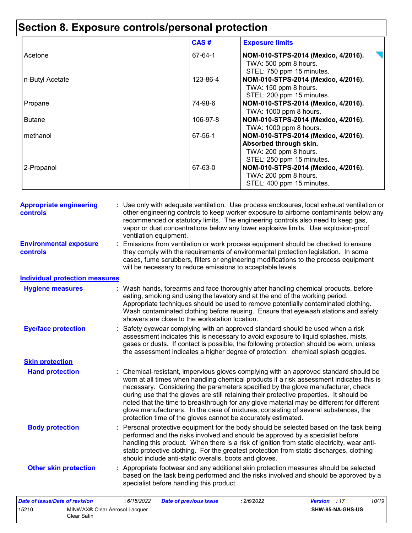|                 | CAS#     | <b>Exposure limits</b>                                                                                                                       |
|-----------------|----------|----------------------------------------------------------------------------------------------------------------------------------------------|
| Acetone         | 67-64-1  | NOM-010-STPS-2014 (Mexico, 4/2016).<br>TWA: 500 ppm 8 hours.                                                                                 |
| n-Butyl Acetate | 123-86-4 | STEL: 750 ppm 15 minutes.<br>NOM-010-STPS-2014 (Mexico, 4/2016).<br>TWA: 150 ppm 8 hours.<br>STEL: 200 ppm 15 minutes.                       |
| Propane         | 74-98-6  | NOM-010-STPS-2014 (Mexico, 4/2016).                                                                                                          |
| <b>Butane</b>   | 106-97-8 | TWA: 1000 ppm 8 hours.<br>NOM-010-STPS-2014 (Mexico, 4/2016).<br>TWA: 1000 ppm 8 hours.                                                      |
| methanol        | 67-56-1  | NOM-010-STPS-2014 (Mexico, 4/2016).                                                                                                          |
| 2-Propanol      | 67-63-0  | Absorbed through skin.<br>TWA: 200 ppm 8 hours.<br>STEL: 250 ppm 15 minutes.<br>NOM-010-STPS-2014 (Mexico, 4/2016).<br>TWA: 200 ppm 8 hours. |
|                 |          | STEL: 400 ppm 15 minutes.                                                                                                                    |

| <b>Appropriate engineering</b><br>controls | : Use only with adequate ventilation. Use process enclosures, local exhaust ventilation or<br>other engineering controls to keep worker exposure to airborne contaminants below any<br>recommended or statutory limits. The engineering controls also need to keep gas,<br>vapor or dust concentrations below any lower explosive limits. Use explosion-proof<br>ventilation equipment.                                                                                                                                                                                                                                |
|--------------------------------------------|------------------------------------------------------------------------------------------------------------------------------------------------------------------------------------------------------------------------------------------------------------------------------------------------------------------------------------------------------------------------------------------------------------------------------------------------------------------------------------------------------------------------------------------------------------------------------------------------------------------------|
| <b>Environmental exposure</b><br>controls  | : Emissions from ventilation or work process equipment should be checked to ensure<br>they comply with the requirements of environmental protection legislation. In some<br>cases, fume scrubbers, filters or engineering modifications to the process equipment<br>will be necessary to reduce emissions to acceptable levels.                                                                                                                                                                                                                                                                                        |
| <b>Individual protection measures</b>      |                                                                                                                                                                                                                                                                                                                                                                                                                                                                                                                                                                                                                        |
| <b>Hygiene measures</b>                    | : Wash hands, forearms and face thoroughly after handling chemical products, before<br>eating, smoking and using the lavatory and at the end of the working period.<br>Appropriate techniques should be used to remove potentially contaminated clothing.<br>Wash contaminated clothing before reusing. Ensure that eyewash stations and safety<br>showers are close to the workstation location.                                                                                                                                                                                                                      |
| <b>Eye/face protection</b>                 | : Safety eyewear complying with an approved standard should be used when a risk<br>assessment indicates this is necessary to avoid exposure to liquid splashes, mists,<br>gases or dusts. If contact is possible, the following protection should be worn, unless<br>the assessment indicates a higher degree of protection: chemical splash goggles.                                                                                                                                                                                                                                                                  |
| <b>Skin protection</b>                     |                                                                                                                                                                                                                                                                                                                                                                                                                                                                                                                                                                                                                        |
| <b>Hand protection</b>                     | : Chemical-resistant, impervious gloves complying with an approved standard should be<br>worn at all times when handling chemical products if a risk assessment indicates this is<br>necessary. Considering the parameters specified by the glove manufacturer, check<br>during use that the gloves are still retaining their protective properties. It should be<br>noted that the time to breakthrough for any glove material may be different for different<br>glove manufacturers. In the case of mixtures, consisting of several substances, the<br>protection time of the gloves cannot be accurately estimated. |
| <b>Body protection</b>                     | : Personal protective equipment for the body should be selected based on the task being<br>performed and the risks involved and should be approved by a specialist before<br>handling this product. When there is a risk of ignition from static electricity, wear anti-<br>static protective clothing. For the greatest protection from static discharges, clothing<br>should include anti-static overalls, boots and gloves.                                                                                                                                                                                         |
| <b>Other skin protection</b>               | : Appropriate footwear and any additional skin protection measures should be selected<br>based on the task being performed and the risks involved and should be approved by a<br>specialist before handling this product.                                                                                                                                                                                                                                                                                                                                                                                              |
| Date of issue/Date of revision             | : 6/15/2022<br>: 2/6/2022<br>Version : 17<br>10/19<br><b>Date of previous issue</b>                                                                                                                                                                                                                                                                                                                                                                                                                                                                                                                                    |

|       | ------------                                 | __________________ | ----------- |                  | ---- |
|-------|----------------------------------------------|--------------------|-------------|------------------|------|
| 15210 | MINWAX® Clear Aerosol Lacquer<br>Clear Satin |                    |             | SHW-85-NA-GHS-US |      |
|       |                                              |                    |             |                  |      |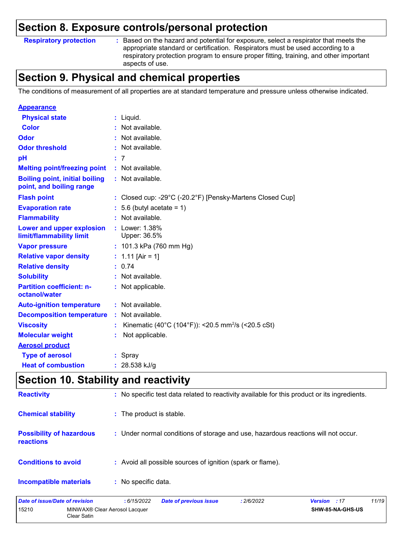#### **Respiratory protection :**

: Based on the hazard and potential for exposure, select a respirator that meets the appropriate standard or certification. Respirators must be used according to a respiratory protection program to ensure proper fitting, training, and other important aspects of use.

### **Section 9. Physical and chemical properties**

The conditions of measurement of all properties are at standard temperature and pressure unless otherwise indicated.

| <b>Appearance</b>                                                 |                                                                |
|-------------------------------------------------------------------|----------------------------------------------------------------|
| <b>Physical state</b>                                             | $:$ Liquid.                                                    |
| Color                                                             | : Not available.                                               |
| Odor                                                              | : Not available.                                               |
| <b>Odor threshold</b>                                             | Not available.                                                 |
| pH                                                                | : 7                                                            |
| <b>Melting point/freezing point</b>                               | : Not available.                                               |
| <b>Boiling point, initial boiling</b><br>point, and boiling range | : Not available.                                               |
| <b>Flash point</b>                                                | : Closed cup: -29°C (-20.2°F) [Pensky-Martens Closed Cup]      |
| <b>Evaporation rate</b>                                           | $: 5.6$ (butyl acetate = 1)                                    |
| <b>Flammability</b>                                               | $:$ Not available.                                             |
| Lower and upper explosion<br>limit/flammability limit             | Lower: 1.38%<br>Upper: 36.5%                                   |
| <b>Vapor pressure</b>                                             | : $101.3$ kPa (760 mm Hg)                                      |
| <b>Relative vapor density</b>                                     | : 1.11 [Air = 1]                                               |
| <b>Relative density</b>                                           | : 0.74                                                         |
| <b>Solubility</b>                                                 | Not available.                                                 |
| <b>Partition coefficient: n-</b><br>octanol/water                 | : Not applicable.                                              |
| <b>Auto-ignition temperature</b>                                  | : Not available.                                               |
| <b>Decomposition temperature</b>                                  | Not available.                                                 |
| <b>Viscosity</b>                                                  | Kinematic (40°C (104°F)): <20.5 mm <sup>2</sup> /s (<20.5 cSt) |
| <b>Molecular weight</b>                                           | Not applicable.                                                |
| <b>Aerosol product</b>                                            |                                                                |
| <b>Type of aerosol</b>                                            | : Spray                                                        |
| <b>Heat of combustion</b>                                         | : $28.538$ kJ/g                                                |

### **Section 10. Stability and reactivity**

| <b>Reactivity</b>                                   | : No specific test data related to reactivity available for this product or its ingredients. |
|-----------------------------------------------------|----------------------------------------------------------------------------------------------|
| <b>Chemical stability</b>                           | : The product is stable.                                                                     |
| <b>Possibility of hazardous</b><br><b>reactions</b> | : Under normal conditions of storage and use, hazardous reactions will not occur.            |
| <b>Conditions to avoid</b>                          | : Avoid all possible sources of ignition (spark or flame).                                   |
| <b>Incompatible materials</b>                       | : No specific data.                                                                          |
|                                                     |                                                                                              |

| Date of issue/Date of revision                                    |  | : 6/15/2022 | <b>Date of previous issue</b> | : 2/6/2022       | <b>Version</b> : 17 | 11/19 |
|-------------------------------------------------------------------|--|-------------|-------------------------------|------------------|---------------------|-------|
| 15210<br>MINWAX <sup>®</sup> Clear Aerosol Lacquer<br>Clear Satin |  |             |                               | SHW-85-NA-GHS-US |                     |       |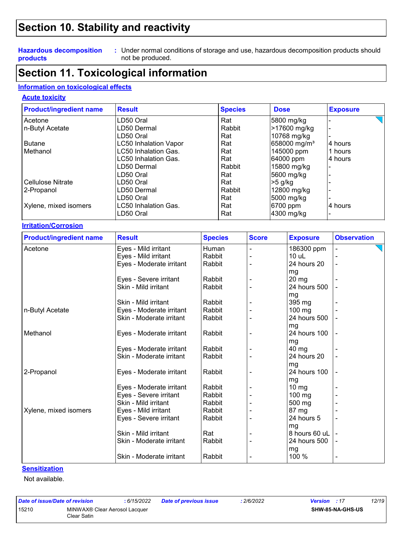### **Section 10. Stability and reactivity**

#### **Hazardous decomposition products**

Under normal conditions of storage and use, hazardous decomposition products should **:** not be produced.

### **Section 11. Toxicological information**

#### **Information on toxicological effects**

#### **Acute toxicity**

| <b>Product/ingredient name</b> | <b>Result</b>                | <b>Species</b> | <b>Dose</b>               | <b>Exposure</b>    |
|--------------------------------|------------------------------|----------------|---------------------------|--------------------|
| Acetone                        | LD50 Oral                    | Rat            | 5800 mg/kg                |                    |
| n-Butyl Acetate                | LD50 Dermal                  | Rabbit         | >17600 mg/kg              |                    |
|                                | LD50 Oral                    | Rat            | 10768 mg/kg               |                    |
| <b>Butane</b>                  | <b>LC50 Inhalation Vapor</b> | Rat            | 658000 mg/m <sup>3</sup>  | 4 hours            |
| Methanol                       | LC50 Inhalation Gas.         | Rat            | 145000 ppm                | 1 hours            |
|                                | LC50 Inhalation Gas.         | Rat            | 64000 ppm                 | 4 hours            |
|                                | LD50 Dermal                  | Rabbit         | 15800 mg/kg               |                    |
|                                | LD50 Oral                    | Rat            | 5600 mg/kg                |                    |
| Cellulose Nitrate              | LD50 Oral                    | Rat            | $>5$ g/kg                 |                    |
| 2-Propanol                     | LD50 Dermal                  | Rabbit         | 12800 mg/kg               |                    |
|                                | LD50 Oral                    | Rat            | 5000 mg/kg                |                    |
| Xylene, mixed isomers          | LC50 Inhalation Gas.         | Rat            | 6700 ppm                  | 4 hours            |
|                                | LD50 Oral                    | Rat            | 4300 mg/kg                |                    |
| <b>Irritation/Corrosion</b>    |                              |                |                           |                    |
| <b>Product/ingradiant nama</b> | <b>Rogult</b>                | <b>Snacias</b> | Score<br><b>E</b> vnosure | <b>Ohearvation</b> |

| <b>Product/ingredient name</b> | <b>Result</b>            | <b>Species</b> | <b>Score</b> | <b>Exposure</b>   | <b>Observation</b> |
|--------------------------------|--------------------------|----------------|--------------|-------------------|--------------------|
| Acetone                        | Eyes - Mild irritant     | Human          |              | 186300 ppm        |                    |
|                                | Eyes - Mild irritant     | Rabbit         |              | $10$ uL           |                    |
|                                | Eyes - Moderate irritant | Rabbit         |              | 24 hours 20       |                    |
|                                |                          |                |              | mg                |                    |
|                                | Eyes - Severe irritant   | Rabbit         |              | $20 \, mg$        |                    |
|                                | Skin - Mild irritant     | Rabbit         |              | 24 hours 500      |                    |
|                                |                          |                |              | mg                |                    |
|                                | Skin - Mild irritant     | Rabbit         |              | 395 mg            |                    |
| n-Butyl Acetate                | Eyes - Moderate irritant | Rabbit         |              | 100 mg            |                    |
|                                | Skin - Moderate irritant | Rabbit         |              | 24 hours 500      |                    |
|                                |                          |                |              | mg                |                    |
| Methanol                       | Eyes - Moderate irritant | Rabbit         |              | 24 hours 100      |                    |
|                                |                          |                |              | mg                |                    |
|                                | Eyes - Moderate irritant | Rabbit         |              | 40 mg             |                    |
|                                | Skin - Moderate irritant | Rabbit         |              | 24 hours 20       |                    |
|                                |                          |                |              | mg                |                    |
| 2-Propanol                     | Eyes - Moderate irritant | Rabbit         |              | 24 hours 100      |                    |
|                                |                          |                |              | mg                |                    |
|                                | Eyes - Moderate irritant | Rabbit         |              | $10 \, \text{mg}$ |                    |
|                                | Eyes - Severe irritant   | Rabbit         |              | $100$ mg          |                    |
|                                | Skin - Mild irritant     | Rabbit         |              | 500 mg            |                    |
| Xylene, mixed isomers          | Eyes - Mild irritant     | Rabbit         |              | 87 mg             |                    |
|                                | Eyes - Severe irritant   | Rabbit         |              | 24 hours 5        |                    |
|                                |                          |                |              | mg                |                    |
|                                | Skin - Mild irritant     | Rat            |              | 8 hours 60 uL     |                    |
|                                | Skin - Moderate irritant | Rabbit         |              | 24 hours 500      |                    |
|                                |                          |                |              | mg                |                    |
|                                | Skin - Moderate irritant | Rabbit         |              | 100 %             |                    |

#### **Sensitization**

Not available.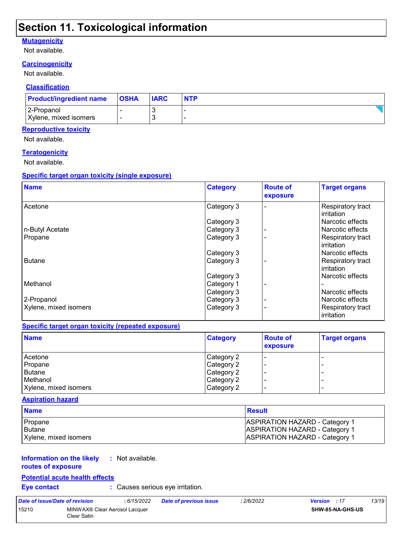### **Section 11. Toxicological information**

#### **Mutagenicity**

Not available.

### **Carcinogenicity**

Not available.

#### **Classification**

| <b>Product/ingredient name</b> | <b>OSHA</b> | <b>IARC</b> | <b>NTP</b> |
|--------------------------------|-------------|-------------|------------|
| 2-Propanol                     |             |             |            |
| Xylene, mixed isomers          |             |             |            |

#### **Reproductive toxicity**

Not available.

#### **Teratogenicity**

Not available.

#### **Specific target organ toxicity (single exposure)**

| <b>Name</b>           | <b>Category</b> | <b>Route of</b><br>exposure | <b>Target organs</b>            |
|-----------------------|-----------------|-----------------------------|---------------------------------|
| Acetone               | Category 3      |                             | Respiratory tract<br>irritation |
|                       | Category 3      |                             | Narcotic effects                |
| n-Butyl Acetate       | Category 3      |                             | Narcotic effects                |
| Propane               | Category 3      |                             | Respiratory tract<br>irritation |
|                       | Category 3      |                             | Narcotic effects                |
| <b>Butane</b>         | Category 3      |                             | Respiratory tract<br>irritation |
|                       | Category 3      |                             | Narcotic effects                |
| Methanol              | Category 1      |                             |                                 |
|                       | Category 3      |                             | Narcotic effects                |
| 2-Propanol            | Category 3      |                             | Narcotic effects                |
| Xylene, mixed isomers | Category 3      |                             | Respiratory tract<br>irritation |

#### **Specific target organ toxicity (repeated exposure)**

| <b>Name</b>           | <b>Category</b> | <b>Route of</b><br>exposure | <b>Target organs</b> |
|-----------------------|-----------------|-----------------------------|----------------------|
| Acetone               | Category 2      |                             | -                    |
| Propane               | Category 2      |                             |                      |
| Butane                | Category 2      |                             | -                    |
| Methanol              | Category 2      |                             |                      |
| Xylene, mixed isomers | Category 2      |                             | -                    |

#### **Aspiration hazard**

| <b>Name</b>           | Result                                |
|-----------------------|---------------------------------------|
| Propane               | <b>ASPIRATION HAZARD - Category 1</b> |
| l Butane              | <b>ASPIRATION HAZARD - Category 1</b> |
| Xylene, mixed isomers | <b>ASPIRATION HAZARD - Category 1</b> |

#### **Information on the likely routes of exposure :** Not available.

#### **Potential acute health effects**

**Eye contact :** Causes serious eye irritation.

| Date of issue/Date of revision |                                                          | : 6/15/2022 | <b>Date of previous issue</b> | : 2/6/2022 | 13/19<br><b>Version</b> : 17 |
|--------------------------------|----------------------------------------------------------|-------------|-------------------------------|------------|------------------------------|
| 15210                          | MINWAX <sup>®</sup> Clear Aerosol Lacquer<br>Clear Satin |             |                               |            | <b>SHW-85-NA-GHS-US</b>      |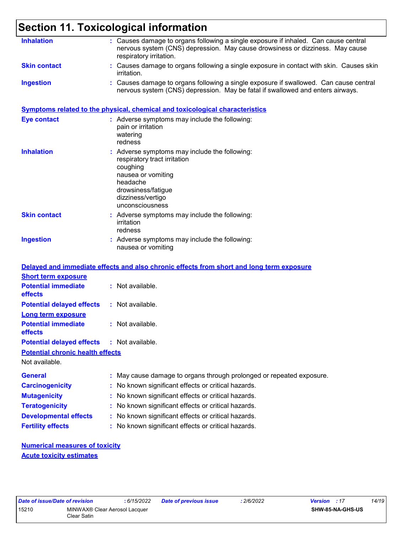### **Section 11. Toxicological information**

| <b>Skin contact</b><br>: Causes damage to organs following a single exposure in contact with skin. Causes skin<br><i>irritation.</i><br>: Causes damage to organs following a single exposure if swallowed. Can cause central<br><b>Ingestion</b><br>nervous system (CNS) depression. May be fatal if swallowed and enters airways.<br><b>Symptoms related to the physical, chemical and toxicological characteristics</b><br><b>Eye contact</b><br>: Adverse symptoms may include the following:<br>pain or irritation<br>watering<br>redness<br><b>Inhalation</b><br>: Adverse symptoms may include the following:<br>respiratory tract irritation<br>coughing<br>nausea or vomiting<br>headache<br>drowsiness/fatigue<br>dizziness/vertigo<br>unconsciousness<br><b>Skin contact</b><br>: Adverse symptoms may include the following:<br>irritation<br>redness<br><b>Ingestion</b><br>: Adverse symptoms may include the following:<br>nausea or vomiting<br>Delayed and immediate effects and also chronic effects from short and long term exposure<br><b>Short term exposure</b><br><b>Potential immediate</b><br>: Not available.<br>effects<br>: Not available.<br><b>Potential delayed effects</b><br><b>Long term exposure</b><br><b>Potential immediate</b><br>: Not available.<br>effects<br><b>Potential delayed effects</b><br>: Not available.<br><b>Potential chronic health effects</b><br>Not available.<br><b>General</b><br>: May cause damage to organs through prolonged or repeated exposure.<br><b>Carcinogenicity</b><br>: No known significant effects or critical hazards.<br><b>Mutagenicity</b><br>: No known significant effects or critical hazards.<br><b>Teratogenicity</b><br>: No known significant effects or critical hazards.<br><b>Developmental effects</b><br>: No known significant effects or critical hazards.<br><b>Fertility effects</b><br>: No known significant effects or critical hazards. | <b>Inhalation</b> | : Causes damage to organs following a single exposure if inhaled. Can cause central<br>nervous system (CNS) depression. May cause drowsiness or dizziness. May cause<br>respiratory irritation. |
|-----------------------------------------------------------------------------------------------------------------------------------------------------------------------------------------------------------------------------------------------------------------------------------------------------------------------------------------------------------------------------------------------------------------------------------------------------------------------------------------------------------------------------------------------------------------------------------------------------------------------------------------------------------------------------------------------------------------------------------------------------------------------------------------------------------------------------------------------------------------------------------------------------------------------------------------------------------------------------------------------------------------------------------------------------------------------------------------------------------------------------------------------------------------------------------------------------------------------------------------------------------------------------------------------------------------------------------------------------------------------------------------------------------------------------------------------------------------------------------------------------------------------------------------------------------------------------------------------------------------------------------------------------------------------------------------------------------------------------------------------------------------------------------------------------------------------------------------------------------------------------------------------------------------------------------------------|-------------------|-------------------------------------------------------------------------------------------------------------------------------------------------------------------------------------------------|
|                                                                                                                                                                                                                                                                                                                                                                                                                                                                                                                                                                                                                                                                                                                                                                                                                                                                                                                                                                                                                                                                                                                                                                                                                                                                                                                                                                                                                                                                                                                                                                                                                                                                                                                                                                                                                                                                                                                                               |                   |                                                                                                                                                                                                 |
|                                                                                                                                                                                                                                                                                                                                                                                                                                                                                                                                                                                                                                                                                                                                                                                                                                                                                                                                                                                                                                                                                                                                                                                                                                                                                                                                                                                                                                                                                                                                                                                                                                                                                                                                                                                                                                                                                                                                               |                   |                                                                                                                                                                                                 |
|                                                                                                                                                                                                                                                                                                                                                                                                                                                                                                                                                                                                                                                                                                                                                                                                                                                                                                                                                                                                                                                                                                                                                                                                                                                                                                                                                                                                                                                                                                                                                                                                                                                                                                                                                                                                                                                                                                                                               |                   |                                                                                                                                                                                                 |
|                                                                                                                                                                                                                                                                                                                                                                                                                                                                                                                                                                                                                                                                                                                                                                                                                                                                                                                                                                                                                                                                                                                                                                                                                                                                                                                                                                                                                                                                                                                                                                                                                                                                                                                                                                                                                                                                                                                                               |                   |                                                                                                                                                                                                 |
|                                                                                                                                                                                                                                                                                                                                                                                                                                                                                                                                                                                                                                                                                                                                                                                                                                                                                                                                                                                                                                                                                                                                                                                                                                                                                                                                                                                                                                                                                                                                                                                                                                                                                                                                                                                                                                                                                                                                               |                   |                                                                                                                                                                                                 |
|                                                                                                                                                                                                                                                                                                                                                                                                                                                                                                                                                                                                                                                                                                                                                                                                                                                                                                                                                                                                                                                                                                                                                                                                                                                                                                                                                                                                                                                                                                                                                                                                                                                                                                                                                                                                                                                                                                                                               |                   |                                                                                                                                                                                                 |
|                                                                                                                                                                                                                                                                                                                                                                                                                                                                                                                                                                                                                                                                                                                                                                                                                                                                                                                                                                                                                                                                                                                                                                                                                                                                                                                                                                                                                                                                                                                                                                                                                                                                                                                                                                                                                                                                                                                                               |                   |                                                                                                                                                                                                 |
|                                                                                                                                                                                                                                                                                                                                                                                                                                                                                                                                                                                                                                                                                                                                                                                                                                                                                                                                                                                                                                                                                                                                                                                                                                                                                                                                                                                                                                                                                                                                                                                                                                                                                                                                                                                                                                                                                                                                               |                   |                                                                                                                                                                                                 |
|                                                                                                                                                                                                                                                                                                                                                                                                                                                                                                                                                                                                                                                                                                                                                                                                                                                                                                                                                                                                                                                                                                                                                                                                                                                                                                                                                                                                                                                                                                                                                                                                                                                                                                                                                                                                                                                                                                                                               |                   |                                                                                                                                                                                                 |
|                                                                                                                                                                                                                                                                                                                                                                                                                                                                                                                                                                                                                                                                                                                                                                                                                                                                                                                                                                                                                                                                                                                                                                                                                                                                                                                                                                                                                                                                                                                                                                                                                                                                                                                                                                                                                                                                                                                                               |                   |                                                                                                                                                                                                 |
|                                                                                                                                                                                                                                                                                                                                                                                                                                                                                                                                                                                                                                                                                                                                                                                                                                                                                                                                                                                                                                                                                                                                                                                                                                                                                                                                                                                                                                                                                                                                                                                                                                                                                                                                                                                                                                                                                                                                               |                   |                                                                                                                                                                                                 |
|                                                                                                                                                                                                                                                                                                                                                                                                                                                                                                                                                                                                                                                                                                                                                                                                                                                                                                                                                                                                                                                                                                                                                                                                                                                                                                                                                                                                                                                                                                                                                                                                                                                                                                                                                                                                                                                                                                                                               |                   |                                                                                                                                                                                                 |
|                                                                                                                                                                                                                                                                                                                                                                                                                                                                                                                                                                                                                                                                                                                                                                                                                                                                                                                                                                                                                                                                                                                                                                                                                                                                                                                                                                                                                                                                                                                                                                                                                                                                                                                                                                                                                                                                                                                                               |                   |                                                                                                                                                                                                 |
|                                                                                                                                                                                                                                                                                                                                                                                                                                                                                                                                                                                                                                                                                                                                                                                                                                                                                                                                                                                                                                                                                                                                                                                                                                                                                                                                                                                                                                                                                                                                                                                                                                                                                                                                                                                                                                                                                                                                               |                   |                                                                                                                                                                                                 |
|                                                                                                                                                                                                                                                                                                                                                                                                                                                                                                                                                                                                                                                                                                                                                                                                                                                                                                                                                                                                                                                                                                                                                                                                                                                                                                                                                                                                                                                                                                                                                                                                                                                                                                                                                                                                                                                                                                                                               |                   |                                                                                                                                                                                                 |
|                                                                                                                                                                                                                                                                                                                                                                                                                                                                                                                                                                                                                                                                                                                                                                                                                                                                                                                                                                                                                                                                                                                                                                                                                                                                                                                                                                                                                                                                                                                                                                                                                                                                                                                                                                                                                                                                                                                                               |                   |                                                                                                                                                                                                 |
|                                                                                                                                                                                                                                                                                                                                                                                                                                                                                                                                                                                                                                                                                                                                                                                                                                                                                                                                                                                                                                                                                                                                                                                                                                                                                                                                                                                                                                                                                                                                                                                                                                                                                                                                                                                                                                                                                                                                               |                   |                                                                                                                                                                                                 |
|                                                                                                                                                                                                                                                                                                                                                                                                                                                                                                                                                                                                                                                                                                                                                                                                                                                                                                                                                                                                                                                                                                                                                                                                                                                                                                                                                                                                                                                                                                                                                                                                                                                                                                                                                                                                                                                                                                                                               |                   |                                                                                                                                                                                                 |
|                                                                                                                                                                                                                                                                                                                                                                                                                                                                                                                                                                                                                                                                                                                                                                                                                                                                                                                                                                                                                                                                                                                                                                                                                                                                                                                                                                                                                                                                                                                                                                                                                                                                                                                                                                                                                                                                                                                                               |                   |                                                                                                                                                                                                 |
|                                                                                                                                                                                                                                                                                                                                                                                                                                                                                                                                                                                                                                                                                                                                                                                                                                                                                                                                                                                                                                                                                                                                                                                                                                                                                                                                                                                                                                                                                                                                                                                                                                                                                                                                                                                                                                                                                                                                               |                   |                                                                                                                                                                                                 |
|                                                                                                                                                                                                                                                                                                                                                                                                                                                                                                                                                                                                                                                                                                                                                                                                                                                                                                                                                                                                                                                                                                                                                                                                                                                                                                                                                                                                                                                                                                                                                                                                                                                                                                                                                                                                                                                                                                                                               |                   |                                                                                                                                                                                                 |

**Acute toxicity estimates**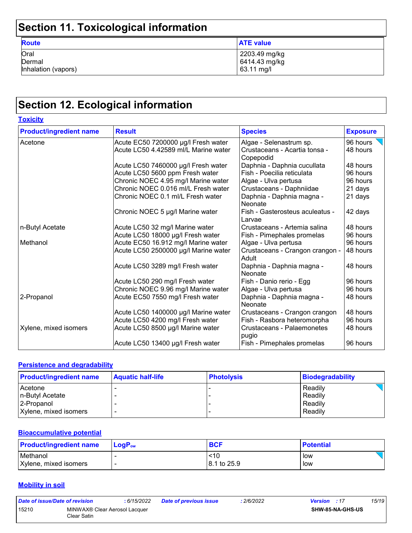## **Section 11. Toxicological information**

| -                                     |                                              |
|---------------------------------------|----------------------------------------------|
| <b>Route</b>                          | <b>ATE</b> value                             |
| Oral<br>Dermal<br>Inhalation (vapors) | 2203.49 mg/kg<br>6414.43 mg/kg<br>63.11 mg/l |

## **Section 12. Ecological information**

| <b>Toxicity</b>                |                                      |                                            |                 |
|--------------------------------|--------------------------------------|--------------------------------------------|-----------------|
| <b>Product/ingredient name</b> | <b>Result</b>                        | <b>Species</b>                             | <b>Exposure</b> |
| Acetone                        | Acute EC50 7200000 µg/l Fresh water  | Algae - Selenastrum sp.                    | 96 hours        |
|                                | Acute LC50 4.42589 ml/L Marine water | Crustaceans - Acartia tonsa -<br>Copepodid | 48 hours        |
|                                | Acute LC50 7460000 µg/l Fresh water  | Daphnia - Daphnia cucullata                | 48 hours        |
|                                | Acute LC50 5600 ppm Fresh water      | Fish - Poecilia reticulata                 | 96 hours        |
|                                | Chronic NOEC 4.95 mg/l Marine water  | Algae - Ulva pertusa                       | 96 hours        |
|                                | Chronic NOEC 0.016 ml/L Fresh water  | Crustaceans - Daphniidae                   | 21 days         |
|                                | Chronic NOEC 0.1 ml/L Fresh water    | Daphnia - Daphnia magna -<br>Neonate       | 21 days         |
|                                | Chronic NOEC 5 µg/l Marine water     | Fish - Gasterosteus aculeatus -<br>Larvae  | 42 days         |
| n-Butyl Acetate                | Acute LC50 32 mg/l Marine water      | Crustaceans - Artemia salina               | 48 hours        |
|                                | Acute LC50 18000 µg/l Fresh water    | Fish - Pimephales promelas                 | 96 hours        |
| Methanol                       | Acute EC50 16.912 mg/l Marine water  | Algae - Ulva pertusa                       | 96 hours        |
|                                | Acute LC50 2500000 µg/l Marine water | Crustaceans - Crangon crangon -<br>Adult   | 48 hours        |
|                                | Acute LC50 3289 mg/l Fresh water     | Daphnia - Daphnia magna -<br>Neonate       | 48 hours        |
|                                | Acute LC50 290 mg/l Fresh water      | Fish - Danio rerio - Egg                   | 96 hours        |
|                                | Chronic NOEC 9.96 mg/l Marine water  | Algae - Ulva pertusa                       | 96 hours        |
| 2-Propanol                     | Acute EC50 7550 mg/l Fresh water     | Daphnia - Daphnia magna -<br>Neonate       | 48 hours        |
|                                | Acute LC50 1400000 µg/l Marine water | Crustaceans - Crangon crangon              | 48 hours        |
|                                | Acute LC50 4200 mg/l Fresh water     | Fish - Rasbora heteromorpha                | 96 hours        |
| Xylene, mixed isomers          | Acute LC50 8500 µg/l Marine water    | Crustaceans - Palaemonetes<br>pugio        | 48 hours        |
|                                | Acute LC50 13400 µg/l Fresh water    | Fish - Pimephales promelas                 | 96 hours        |

#### **Persistence and degradability**

| <b>Product/ingredient name</b> | <b>Aquatic half-life</b> | <b>Photolysis</b> | Biodegradability |
|--------------------------------|--------------------------|-------------------|------------------|
| Acetone                        |                          |                   | Readily          |
| n-Butyl Acetate                |                          |                   | Readily          |
| 2-Propanol                     |                          |                   | Readily          |
| Xylene, mixed isomers          | $\overline{\phantom{0}}$ |                   | Readily          |

#### **Bioaccumulative potential**

| <b>Product/ingredient name</b> | $\mathsf{LogP}_\mathsf{ow}$ | <b>BCF</b>  | <b>Potential</b> |
|--------------------------------|-----------------------------|-------------|------------------|
| Methanol                       |                             | <10         | low              |
| Xylene, mixed isomers          |                             | 8.1 to 25.9 | low              |

#### **Mobility in soil**

| Date of issue/Date of revision |                                              | : 6/15/2022 | <b>Date of previous issue</b> | : 2/6/2022 | <b>Version</b> : 17 |                         | 15/19 |
|--------------------------------|----------------------------------------------|-------------|-------------------------------|------------|---------------------|-------------------------|-------|
| 15210                          | MINWAX® Clear Aerosol Lacquer<br>Clear Satin |             |                               |            |                     | <b>SHW-85-NA-GHS-US</b> |       |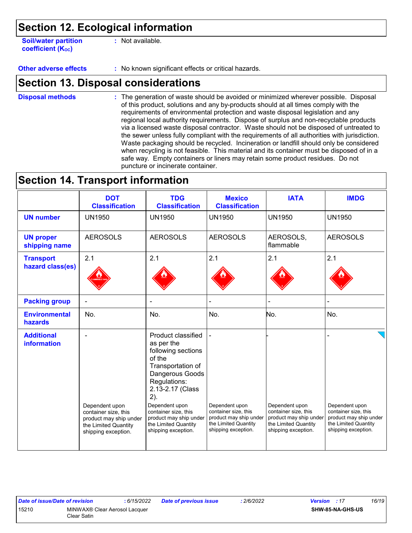### **Section 12. Ecological information**

**Soil/water partition coefficient (Koc)** 

**:** Not available.

**Other adverse effects** : No known significant effects or critical hazards.

### **Section 13. Disposal considerations**

The generation of waste should be avoided or minimized wherever possible. Disposal of this product, solutions and any by-products should at all times comply with the requirements of environmental protection and waste disposal legislation and any regional local authority requirements. Dispose of surplus and non-recyclable products via a licensed waste disposal contractor. Waste should not be disposed of untreated to the sewer unless fully compliant with the requirements of all authorities with jurisdiction. Waste packaging should be recycled. Incineration or landfill should only be considered when recycling is not feasible. This material and its container must be disposed of in a safe way. Empty containers or liners may retain some product residues. Do not puncture or incinerate container. **Disposal methods :**

### **Section 14. Transport information**

|                                         | <b>DOT</b><br><b>Classification</b>                                   | <b>TDG</b><br><b>Classification</b>                                                                                                                                                           | <b>Mexico</b><br><b>Classification</b>                                | <b>IATA</b>                                                           | <b>IMDG</b>                                                           |
|-----------------------------------------|-----------------------------------------------------------------------|-----------------------------------------------------------------------------------------------------------------------------------------------------------------------------------------------|-----------------------------------------------------------------------|-----------------------------------------------------------------------|-----------------------------------------------------------------------|
| <b>UN number</b>                        | <b>UN1950</b>                                                         | <b>UN1950</b>                                                                                                                                                                                 | <b>UN1950</b>                                                         | <b>UN1950</b>                                                         | <b>UN1950</b>                                                         |
| <b>UN proper</b><br>shipping name       | <b>AEROSOLS</b>                                                       | <b>AEROSOLS</b>                                                                                                                                                                               | <b>AEROSOLS</b>                                                       | AEROSOLS,<br>flammable                                                | <b>AEROSOLS</b>                                                       |
| <b>Transport</b><br>hazard class(es)    | 2.1                                                                   | 2.1                                                                                                                                                                                           | 2.1                                                                   | 2.1                                                                   | 2.1                                                                   |
| <b>Packing group</b>                    |                                                                       |                                                                                                                                                                                               |                                                                       |                                                                       |                                                                       |
| <b>Environmental</b><br>hazards         | No.                                                                   | No.                                                                                                                                                                                           | No.                                                                   | No.                                                                   | No.                                                                   |
| <b>Additional</b><br><b>information</b> | Dependent upon<br>container size, this                                | Product classified<br>as per the<br>following sections<br>of the<br>Transportation of<br>Dangerous Goods<br>Regulations:<br>2.13-2.17 (Class<br>2).<br>Dependent upon<br>container size, this | Dependent upon<br>container size, this                                | Dependent upon<br>container size, this                                | Dependent upon<br>container size, this                                |
|                                         | product may ship under<br>the Limited Quantity<br>shipping exception. | product may ship under<br>the Limited Quantity<br>shipping exception.                                                                                                                         | product may ship under<br>the Limited Quantity<br>shipping exception. | product may ship under<br>the Limited Quantity<br>shipping exception. | product may ship under<br>the Limited Quantity<br>shipping exception. |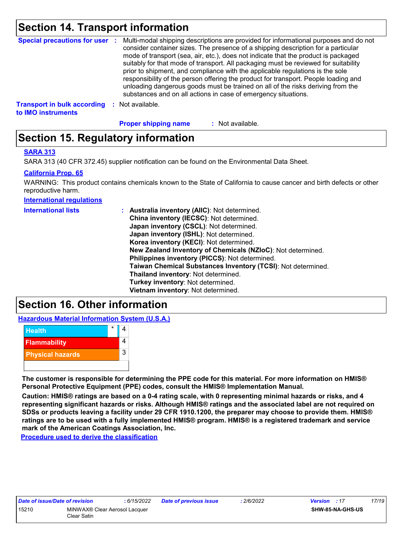### **Section 14. Transport information**

|                                                          |      | Special precautions for user : Multi-modal shipping descriptions are provided for informational purposes and do not<br>consider container sizes. The presence of a shipping description for a particular<br>mode of transport (sea, air, etc.), does not indicate that the product is packaged<br>suitably for that mode of transport. All packaging must be reviewed for suitability<br>prior to shipment, and compliance with the applicable regulations is the sole<br>responsibility of the person offering the product for transport. People loading and<br>unloading dangerous goods must be trained on all of the risks deriving from the<br>substances and on all actions in case of emergency situations. |
|----------------------------------------------------------|------|--------------------------------------------------------------------------------------------------------------------------------------------------------------------------------------------------------------------------------------------------------------------------------------------------------------------------------------------------------------------------------------------------------------------------------------------------------------------------------------------------------------------------------------------------------------------------------------------------------------------------------------------------------------------------------------------------------------------|
| <b>Transport in bulk according</b><br>to IMO instruments | - 50 | Not available.                                                                                                                                                                                                                                                                                                                                                                                                                                                                                                                                                                                                                                                                                                     |

**Proper shipping name :**

: Not available.

### **Section 15. Regulatory information**

#### **SARA 313**

SARA 313 (40 CFR 372.45) supplier notification can be found on the Environmental Data Sheet.

#### **California Prop. 65**

WARNING: This product contains chemicals known to the State of California to cause cancer and birth defects or other reproductive harm.

**International regulations**

| <b>International lists</b> | : Australia inventory (AIIC): Not determined.                |
|----------------------------|--------------------------------------------------------------|
|                            | China inventory (IECSC): Not determined.                     |
|                            | Japan inventory (CSCL): Not determined.                      |
|                            | Japan inventory (ISHL): Not determined.                      |
|                            | Korea inventory (KECI): Not determined.                      |
|                            | New Zealand Inventory of Chemicals (NZIoC): Not determined.  |
|                            | Philippines inventory (PICCS): Not determined.               |
|                            | Taiwan Chemical Substances Inventory (TCSI): Not determined. |
|                            | Thailand inventory: Not determined.                          |
|                            | Turkey inventory: Not determined.                            |
|                            | Vietnam inventory: Not determined.                           |

### **Section 16. Other information**

**Hazardous Material Information System (U.S.A.)**



**The customer is responsible for determining the PPE code for this material. For more information on HMIS® Personal Protective Equipment (PPE) codes, consult the HMIS® Implementation Manual.**

**Caution: HMIS® ratings are based on a 0-4 rating scale, with 0 representing minimal hazards or risks, and 4 representing significant hazards or risks. Although HMIS® ratings and the associated label are not required on SDSs or products leaving a facility under 29 CFR 1910.1200, the preparer may choose to provide them. HMIS® ratings are to be used with a fully implemented HMIS® program. HMIS® is a registered trademark and service mark of the American Coatings Association, Inc.**

**Procedure used to derive the classification**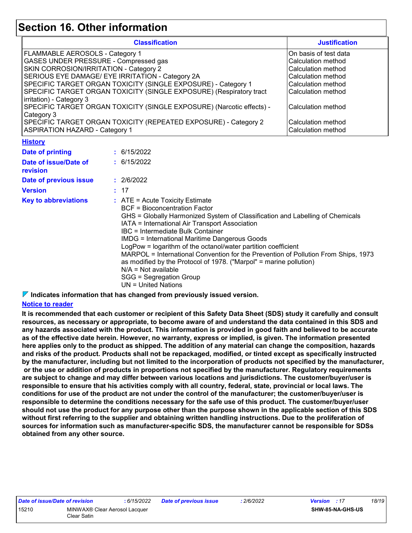### **Section 16. Other information**

| <b>Classification</b>                                                                                                                                                                                                                                                                                                                                                                                                                                                                                                                         |  |                                                                                                                                                                                                                                                                                                                                                                                                                                                                                                                                                                                                                                                                              | <b>Justification</b>                                                                                                                                                                                         |
|-----------------------------------------------------------------------------------------------------------------------------------------------------------------------------------------------------------------------------------------------------------------------------------------------------------------------------------------------------------------------------------------------------------------------------------------------------------------------------------------------------------------------------------------------|--|------------------------------------------------------------------------------------------------------------------------------------------------------------------------------------------------------------------------------------------------------------------------------------------------------------------------------------------------------------------------------------------------------------------------------------------------------------------------------------------------------------------------------------------------------------------------------------------------------------------------------------------------------------------------------|--------------------------------------------------------------------------------------------------------------------------------------------------------------------------------------------------------------|
| FLAMMABLE AEROSOLS - Category 1<br>GASES UNDER PRESSURE - Compressed gas<br>SKIN CORROSION/IRRITATION - Category 2<br>SERIOUS EYE DAMAGE/ EYE IRRITATION - Category 2A<br>SPECIFIC TARGET ORGAN TOXICITY (SINGLE EXPOSURE) - Category 1<br>SPECIFIC TARGET ORGAN TOXICITY (SINGLE EXPOSURE) (Respiratory tract<br>irritation) - Category 3<br>SPECIFIC TARGET ORGAN TOXICITY (SINGLE EXPOSURE) (Narcotic effects) -<br>Category 3<br>SPECIFIC TARGET ORGAN TOXICITY (REPEATED EXPOSURE) - Category 2<br><b>ASPIRATION HAZARD - Category 1</b> |  |                                                                                                                                                                                                                                                                                                                                                                                                                                                                                                                                                                                                                                                                              | On basis of test data<br>Calculation method<br>Calculation method<br><b>Calculation method</b><br>Calculation method<br>Calculation method<br>Calculation method<br>Calculation method<br>Calculation method |
| <b>History</b>                                                                                                                                                                                                                                                                                                                                                                                                                                                                                                                                |  |                                                                                                                                                                                                                                                                                                                                                                                                                                                                                                                                                                                                                                                                              |                                                                                                                                                                                                              |
| <b>Date of printing</b><br>Date of issue/Date of<br>revision<br>Date of previous issue<br><b>Version</b><br><b>Key to abbreviations</b>                                                                                                                                                                                                                                                                                                                                                                                                       |  | : 6/15/2022<br>: 6/15/2022<br>: 2/6/2022<br>: 17<br>: ATE = Acute Toxicity Estimate<br><b>BCF</b> = Bioconcentration Factor<br>GHS = Globally Harmonized System of Classification and Labelling of Chemicals<br>IATA = International Air Transport Association<br><b>IBC</b> = Intermediate Bulk Container<br><b>IMDG = International Maritime Dangerous Goods</b><br>LogPow = logarithm of the octanol/water partition coefficient<br>MARPOL = International Convention for the Prevention of Pollution From Ships, 1973<br>as modified by the Protocol of 1978. ("Marpol" = marine pollution)<br>$N/A = Not available$<br>SGG = Segregation Group<br>$UN = United Nations$ |                                                                                                                                                                                                              |

**Indicates information that has changed from previously issued version.**

#### **Notice to reader**

**It is recommended that each customer or recipient of this Safety Data Sheet (SDS) study it carefully and consult resources, as necessary or appropriate, to become aware of and understand the data contained in this SDS and any hazards associated with the product. This information is provided in good faith and believed to be accurate as of the effective date herein. However, no warranty, express or implied, is given. The information presented here applies only to the product as shipped. The addition of any material can change the composition, hazards and risks of the product. Products shall not be repackaged, modified, or tinted except as specifically instructed by the manufacturer, including but not limited to the incorporation of products not specified by the manufacturer, or the use or addition of products in proportions not specified by the manufacturer. Regulatory requirements are subject to change and may differ between various locations and jurisdictions. The customer/buyer/user is responsible to ensure that his activities comply with all country, federal, state, provincial or local laws. The conditions for use of the product are not under the control of the manufacturer; the customer/buyer/user is responsible to determine the conditions necessary for the safe use of this product. The customer/buyer/user should not use the product for any purpose other than the purpose shown in the applicable section of this SDS without first referring to the supplier and obtaining written handling instructions. Due to the proliferation of sources for information such as manufacturer-specific SDS, the manufacturer cannot be responsible for SDSs obtained from any other source.**